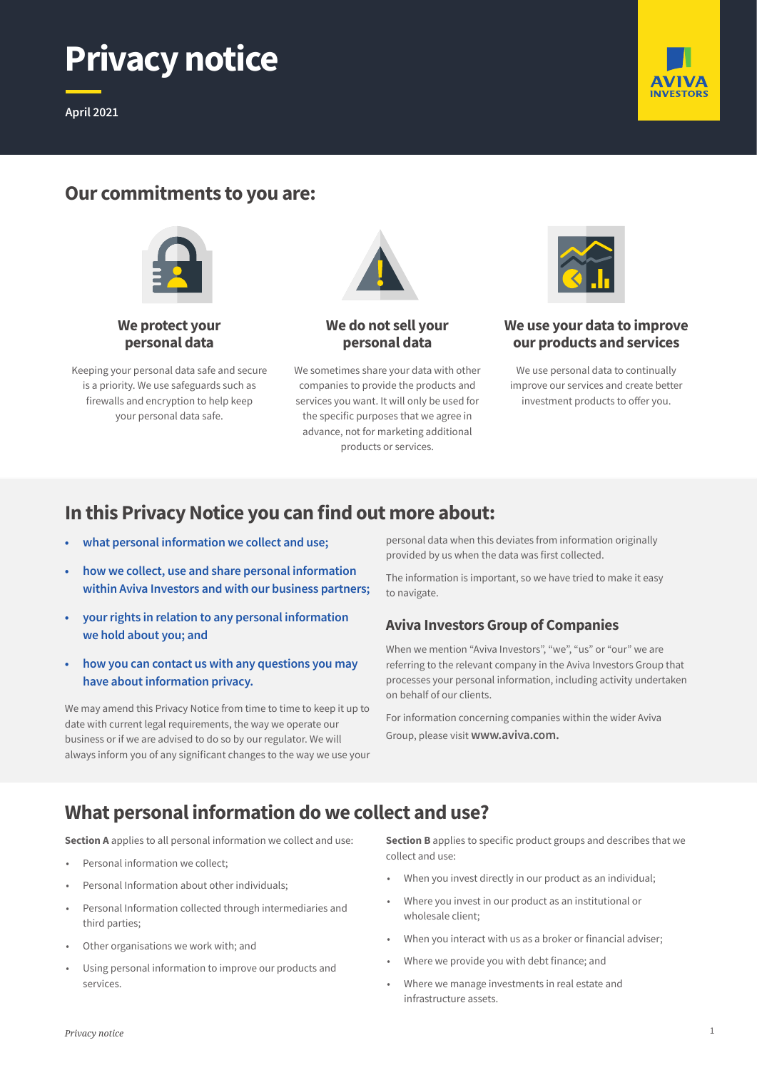

**April 2021**



# **Our commitments to you are:**





Keeping your personal data safe and secure is a priority. We use safeguards such as firewalls and encryption to help keep your personal data safe.



**We do not sell your personal data**

We sometimes share your data with other companies to provide the products and services you want. It will only be used for the specific purposes that we agree in advance, not for marketing additional products or services.



**We use your data to improve our products and services**

We use personal data to continually improve our services and create better investment products to offer you.

# **In this Privacy Notice you can find out more about:**

- **• what personal information we collect and use;**
- **• how we collect, use and share personal information within Aviva Investors and with our business partners;**
- **• your rights in relation to any personal information we hold about you; and**
- **• how you can contact us with any questions you may have about information privacy.**

We may amend this Privacy Notice from time to time to keep it up to date with current legal requirements, the way we operate our business or if we are advised to do so by our regulator. We will always inform you of any significant changes to the way we use your personal data when this deviates from information originally provided by us when the data was first collected.

The information is important, so we have tried to make it easy to navigate.

### **Aviva Investors Group of Companies**

When we mention "Aviva Investors", "we", "us" or "our" we are referring to the relevant company in the Aviva Investors Group that processes your personal information, including activity undertaken on behalf of our clients.

For information concerning companies within the wider Aviva Group, please visit **www.aviva.com.**

# **What personal information do we collect and use?**

**Section A** applies to all personal information we collect and use:

- Personal information we collect;
- Personal Information about other individuals;
- Personal Information collected through intermediaries and third parties;
- Other organisations we work with; and
- Using personal information to improve our products and services.

**Section B** applies to specific product groups and describes that we collect and use:

- When you invest directly in our product as an individual;
- Where you invest in our product as an institutional or wholesale client;
- When you interact with us as a broker or financial adviser;
- Where we provide you with debt finance; and
- Where we manage investments in real estate and infrastructure assets.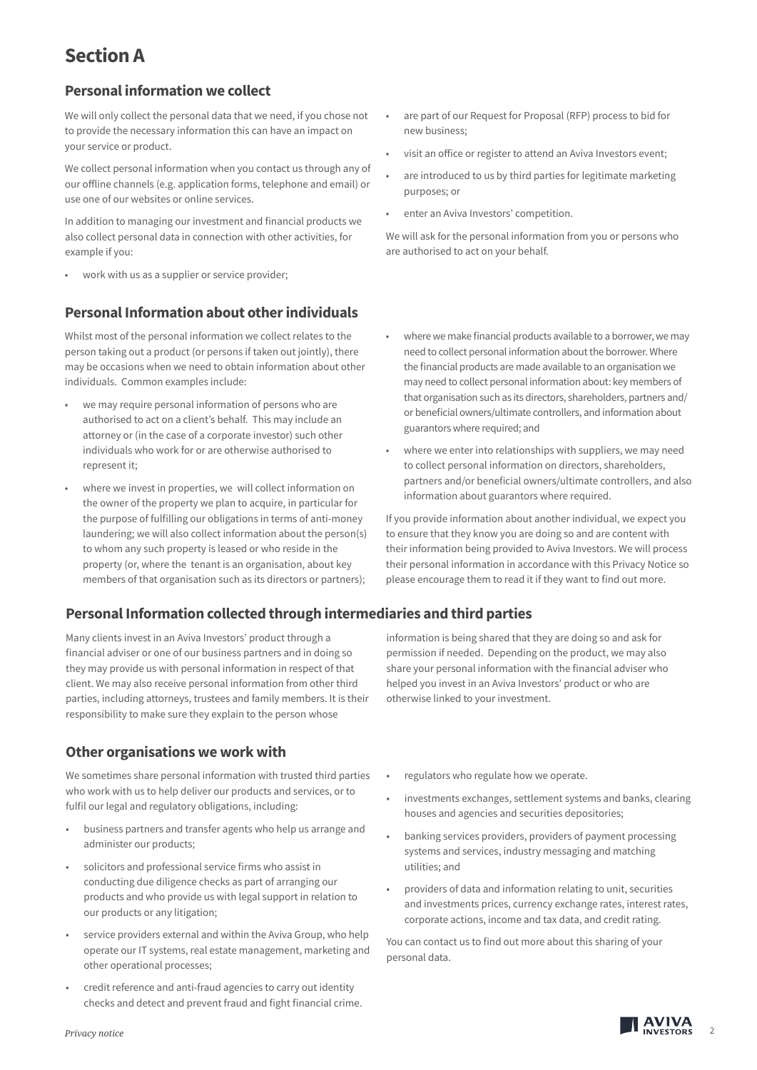# **Section A**

### **Personal information we collect**

We will only collect the personal data that we need, if you chose not to provide the necessary information this can have an impact on your service or product.

We collect personal information when you contact us through any of our offline channels (e.g. application forms, telephone and email) or use one of our websites or online services.

In addition to managing our investment and financial products we also collect personal data in connection with other activities, for example if you:

work with us as a supplier or service provider;

## **Personal Information about other individuals**

Whilst most of the personal information we collect relates to the person taking out a product (or persons if taken out jointly), there may be occasions when we need to obtain information about other individuals. Common examples include:

- we may require personal information of persons who are authorised to act on a client's behalf. This may include an attorney or (in the case of a corporate investor) such other individuals who work for or are otherwise authorised to represent it;
- where we invest in properties, we will collect information on the owner of the property we plan to acquire, in particular for the purpose of fulfilling our obligations in terms of anti-money laundering; we will also collect information about the person(s) to whom any such property is leased or who reside in the property (or, where the tenant is an organisation, about key members of that organisation such as its directors or partners);

## **Personal Information collected through intermediaries and third parties**

Many clients invest in an Aviva Investors' product through a financial adviser or one of our business partners and in doing so they may provide us with personal information in respect of that client. We may also receive personal information from other third parties, including attorneys, trustees and family members. It is their responsibility to make sure they explain to the person whose

## **Other organisations we work with**

We sometimes share personal information with trusted third parties who work with us to help deliver our products and services, or to fulfil our legal and regulatory obligations, including:

- business partners and transfer agents who help us arrange and administer our products;
- solicitors and professional service firms who assist in conducting due diligence checks as part of arranging our products and who provide us with legal support in relation to our products or any litigation;
- service providers external and within the Aviva Group, who help operate our IT systems, real estate management, marketing and other operational processes;
- credit reference and anti-fraud agencies to carry out identity checks and detect and prevent fraud and fight financial crime.
- are part of our Request for Proposal (RFP) process to bid for new business;
- visit an office or register to attend an Aviva Investors event;
- are introduced to us by third parties for legitimate marketing purposes; or
- enter an Aviva Investors' competition.

We will ask for the personal information from you or persons who are authorised to act on your behalf.

- where we make financial products available to a borrower, we may need to collect personal information about the borrower. Where the financial products are made available to an organisation we may need to collect personal information about: key members of that organisation such as its directors, shareholders, partners and/ or beneficial owners/ultimate controllers, and information about guarantors where required; and
- where we enter into relationships with suppliers, we may need to collect personal information on directors, shareholders, partners and/or beneficial owners/ultimate controllers, and also information about guarantors where required.

If you provide information about another individual, we expect you to ensure that they know you are doing so and are content with their information being provided to Aviva Investors. We will process their personal information in accordance with this Privacy Notice so please encourage them to read it if they want to find out more.

information is being shared that they are doing so and ask for permission if needed. Depending on the product, we may also share your personal information with the financial adviser who helped you invest in an Aviva Investors' product or who are otherwise linked to your investment.

- regulators who regulate how we operate.
- investments exchanges, settlement systems and banks, clearing houses and agencies and securities depositories;
- banking services providers, providers of payment processing systems and services, industry messaging and matching utilities; and
- providers of data and information relating to unit, securities and investments prices, currency exchange rates, interest rates, corporate actions, income and tax data, and credit rating.

You can contact us to find out more about this sharing of your personal data.

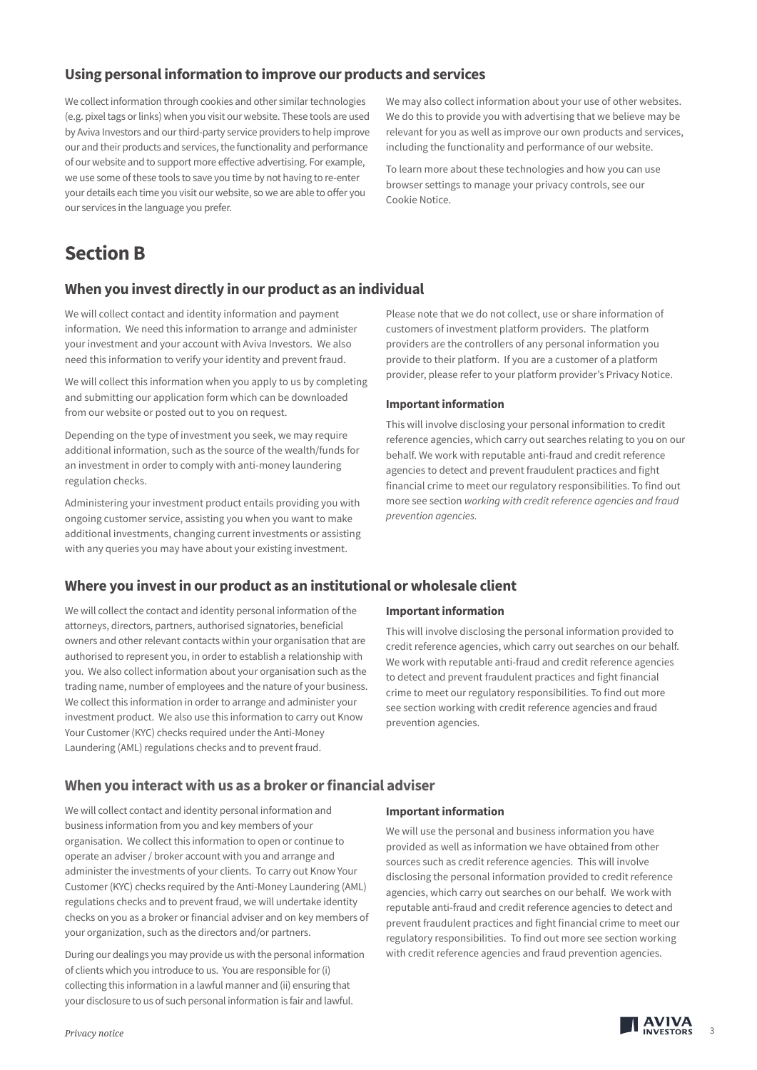### **Using personal information to improve our products and services**

We collect information through cookies and other similar technologies (e.g. pixel tags or links) when you visit our website. These tools are used by Aviva Investors and our third-party service providers to help improve our and their products and services, the functionality and performance of our website and to support more effective advertising. For example, we use some of these tools to save you time by not having to re-enter your details each time you visit our website, so we are able to offer you our services in the language you prefer.

We may also collect information about your use of other websites. We do this to provide you with advertising that we believe may be relevant for you as well as improve our own products and services, including the functionality and performance of our website.

To learn more about these technologies and how you can use browser settings to manage your privacy controls, see our Cookie Notice.

# **Section B**

### **When you invest directly in our product as an individual**

We will collect contact and identity information and payment information. We need this information to arrange and administer your investment and your account with Aviva Investors. We also need this information to verify your identity and prevent fraud.

We will collect this information when you apply to us by completing and submitting our application form which can be downloaded from our website or posted out to you on request.

Depending on the type of investment you seek, we may require additional information, such as the source of the wealth/funds for an investment in order to comply with anti-money laundering regulation checks.

Administering your investment product entails providing you with ongoing customer service, assisting you when you want to make additional investments, changing current investments or assisting with any queries you may have about your existing investment.

Please note that we do not collect, use or share information of customers of investment platform providers. The platform providers are the controllers of any personal information you provide to their platform. If you are a customer of a platform provider, please refer to your platform provider's Privacy Notice.

#### **Important information**

This will involve disclosing your personal information to credit reference agencies, which carry out searches relating to you on our behalf. We work with reputable anti-fraud and credit reference agencies to detect and prevent fraudulent practices and fight financial crime to meet our regulatory responsibilities. To find out more see section *working with credit reference agencies and fraud prevention agencies.*

### **Where you invest in our product as an institutional or wholesale client**

We will collect the contact and identity personal information of the attorneys, directors, partners, authorised signatories, beneficial owners and other relevant contacts within your organisation that are authorised to represent you, in order to establish a relationship with you. We also collect information about your organisation such as the trading name, number of employees and the nature of your business. We collect this information in order to arrange and administer your investment product. We also use this information to carry out Know Your Customer (KYC) checks required under the Anti-Money Laundering (AML) regulations checks and to prevent fraud.

#### **Important information**

This will involve disclosing the personal information provided to credit reference agencies, which carry out searches on our behalf. We work with reputable anti-fraud and credit reference agencies to detect and prevent fraudulent practices and fight financial crime to meet our regulatory responsibilities. To find out more see section working with credit reference agencies and fraud prevention agencies.

#### **When you interact with us as a broker or financial adviser**

We will collect contact and identity personal information and business information from you and key members of your organisation. We collect this information to open or continue to operate an adviser / broker account with you and arrange and administer the investments of your clients. To carry out Know Your Customer (KYC) checks required by the Anti-Money Laundering (AML) regulations checks and to prevent fraud, we will undertake identity checks on you as a broker or financial adviser and on key members of your organization, such as the directors and/or partners.

During our dealings you may provide us with the personal information of clients which you introduce to us. You are responsible for (i) collecting this information in a lawful manner and (ii) ensuring that your disclosure to us of such personal information is fair and lawful.

#### **Important information**

We will use the personal and business information you have provided as well as information we have obtained from other sources such as credit reference agencies. This will involve disclosing the personal information provided to credit reference agencies, which carry out searches on our behalf. We work with reputable anti-fraud and credit reference agencies to detect and prevent fraudulent practices and fight financial crime to meet our regulatory responsibilities. To find out more see section working with credit reference agencies and fraud prevention agencies.



3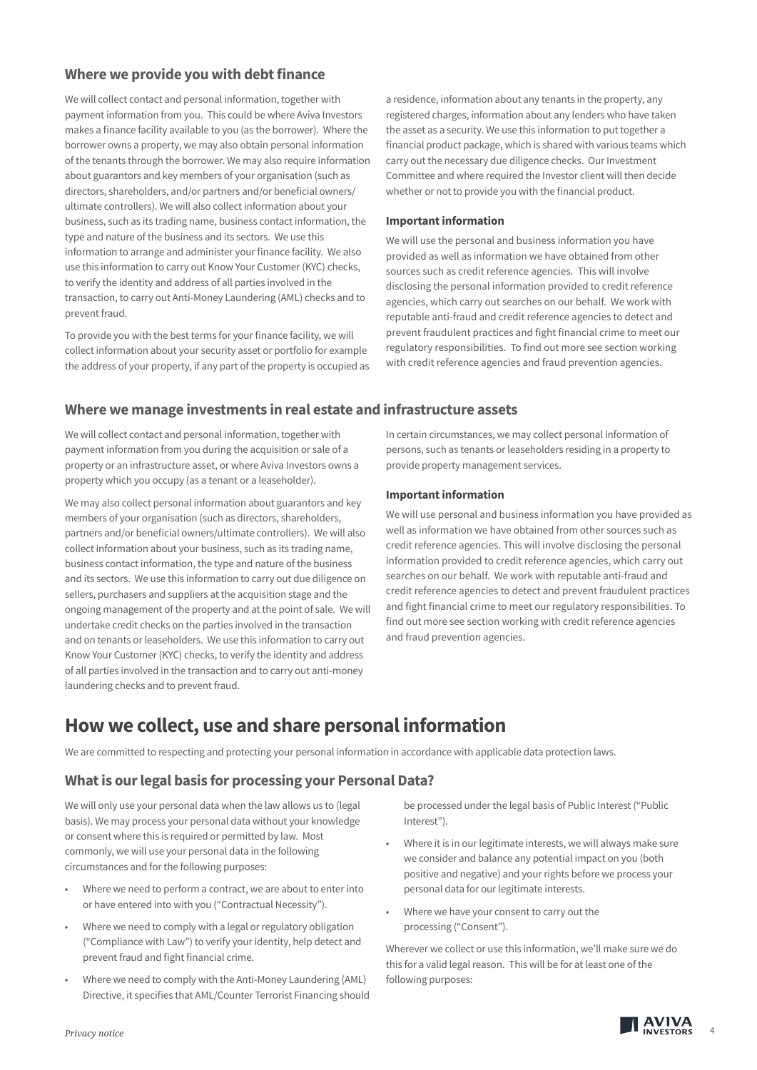### **Where we provide you with debt finance**

We will collect contact and personal information, together with payment information from you. This could be where Aviva Investors makes a finance facility available to you (as the borrower). Where the borrower owns a property, we may also obtain personal information of the tenants through the borrower. We may also require information about guarantors and key members of your organisation (such as directors, shareholders, and/or partners and/or beneficial owners/ ultimate controllers). We will also collect information about your business, such as its trading name, business contact information, the type and nature of the business and its sectors. We use this information to arrange and administer your finance facility. We also use this information to carry out Know Your Customer (KYC) checks, to verify the identity and address of all parties involved in the transaction, to carry out Anti-Money Laundering (AML) checks and to prevent fraud.

To provide you with the best terms for your finance facility, we will collect information about your security asset or portfolio for example the address of your property, if any part of the property is occupied as a residence, information about any tenants in the property, any registered charges, information about any lenders who have taken the asset as a security. We use this information to put together a financial product package, which is shared with various teams which carry out the necessary due diligence checks. Our Investment Committee and where required the Investor client will then decide whether or not to provide you with the financial product.

#### **Important information**

We will use the personal and business information you have provided as well as information we have obtained from other sources such as credit reference agencies. This will involve disclosing the personal information provided to credit reference agencies, which carry out searches on our behalf. We work with reputable anti-fraud and credit reference agencies to detect and prevent fraudulent practices and fight financial crime to meet our regulatory responsibilities. To find out more see section working with credit reference agencies and fraud prevention agencies.

#### **Where we manage investments in real estate and infrastructure assets**

We will collect contact and personal information, together with payment information from you during the acquisition or sale of a property or an infrastructure asset, or where Aviva Investors owns a property which you occupy (as a tenant or a leaseholder).

We may also collect personal information about guarantors and key members of your organisation (such as directors, shareholders, partners and/or beneficial owners/ultimate controllers). We will also collect information about your business, such as its trading name, business contact information, the type and nature of the business and its sectors. We use this information to carry out due diligence on sellers, purchasers and suppliers at the acquisition stage and the ongoing management of the property and at the point of sale. We will undertake credit checks on the parties involved in the transaction and on tenants or leaseholders. We use this information to carry out Know Your Customer (KYC) checks, to verify the identity and address of all parties involved in the transaction and to carry out anti-money laundering checks and to prevent fraud.

In certain circumstances, we may collect personal information of persons, such as tenants or leaseholders residing in a property to provide property management services.

#### **Important information**

We will use personal and business information you have provided as well as information we have obtained from other sources such as credit reference agencies. This will involve disclosing the personal information provided to credit reference agencies, which carry out searches on our behalf. We work with reputable anti-fraud and credit reference agencies to detect and prevent fraudulent practices and fight financial crime to meet our regulatory responsibilities. To find out more see section working with credit reference agencies and fraud prevention agencies.

# **How we collect, use and share personal information**

We are committed to respecting and protecting your personal information in accordance with applicable data protection laws.

#### **What is our legal basis for processing your Personal Data?**

We will only use your personal data when the law allows us to (legal basis). We may process your personal data without your knowledge or consent where this is required or permitted by law. Most commonly, we will use your personal data in the following circumstances and for the following purposes:

- Where we need to perform a contract, we are about to enter into or have entered into with you ("Contractual Necessity").
- Where we need to comply with a legal or regulatory obligation ("Compliance with Law") to verify your identity, help detect and prevent fraud and fight financial crime.
- Where we need to comply with the Anti-Money Laundering (AML) Directive, it specifies that AML/Counter Terrorist Financing should

be processed under the legal basis of Public Interest ("Public Interest").

- Where it is in our legitimate interests, we will always make sure we consider and balance any potential impact on you (both positive and negative) and your rights before we process your personal data for our legitimate interests.
- Where we have your consent to carry out the processing ("Consent").

Wherever we collect or use this information, we'll make sure we do this for a valid legal reason. This will be for at least one of the following purposes:

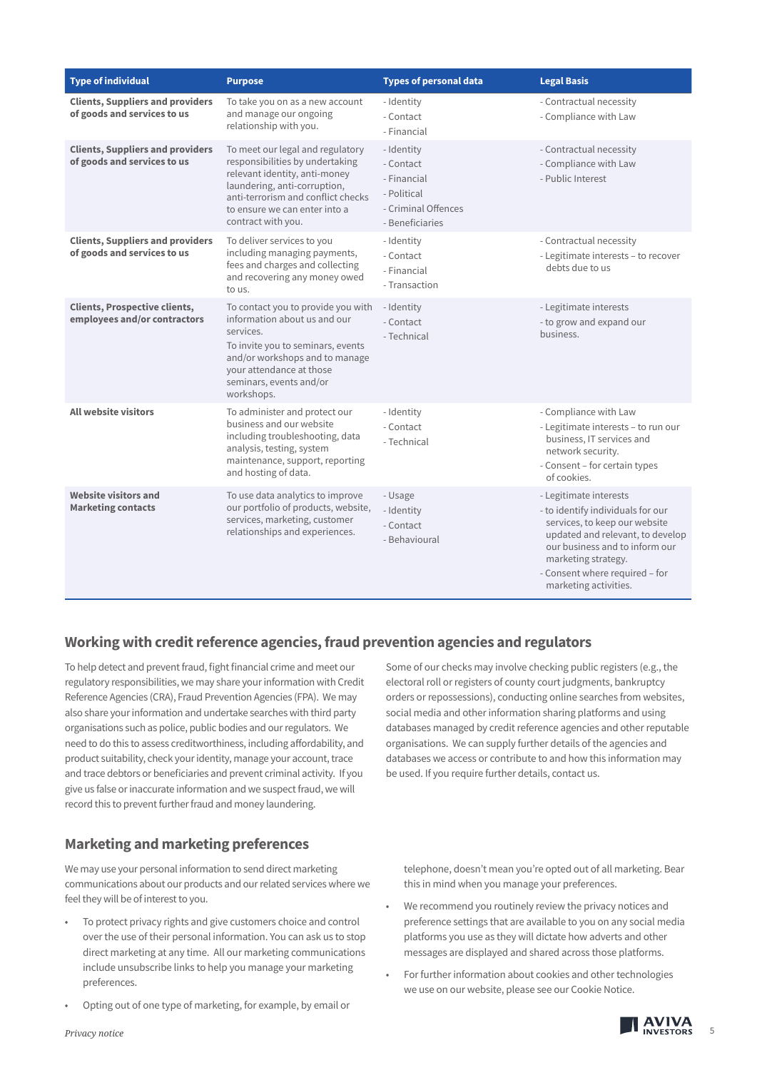| <b>Type of individual</b>                                              | <b>Purpose</b>                                                                                                                                                                                                                    | <b>Types of personal data</b>                                                                   | <b>Legal Basis</b>                                                                                                                                                                                                                                   |
|------------------------------------------------------------------------|-----------------------------------------------------------------------------------------------------------------------------------------------------------------------------------------------------------------------------------|-------------------------------------------------------------------------------------------------|------------------------------------------------------------------------------------------------------------------------------------------------------------------------------------------------------------------------------------------------------|
| <b>Clients, Suppliers and providers</b><br>of goods and services to us | To take you on as a new account<br>and manage our ongoing<br>relationship with you.                                                                                                                                               | - Identity<br>- Contact<br>- Financial                                                          | - Contractual necessity<br>- Compliance with Law                                                                                                                                                                                                     |
| <b>Clients, Suppliers and providers</b><br>of goods and services to us | To meet our legal and regulatory<br>responsibilities by undertaking<br>relevant identity, anti-money<br>laundering, anti-corruption,<br>anti-terrorism and conflict checks<br>to ensure we can enter into a<br>contract with you. | - Identity<br>- Contact<br>- Financial<br>- Political<br>- Criminal Offences<br>- Beneficiaries | - Contractual necessity<br>- Compliance with Law<br>- Public Interest                                                                                                                                                                                |
| <b>Clients, Suppliers and providers</b><br>of goods and services to us | To deliver services to you<br>including managing payments,<br>fees and charges and collecting<br>and recovering any money owed<br>to us.                                                                                          | - Identity<br>- Contact<br>- Financial<br>- Transaction                                         | - Contractual necessity<br>- Legitimate interests - to recover<br>debts due to us                                                                                                                                                                    |
| <b>Clients, Prospective clients,</b><br>employees and/or contractors   | To contact you to provide you with<br>information about us and our<br>services.<br>To invite you to seminars, events<br>and/or workshops and to manage<br>your attendance at those<br>seminars, events and/or<br>workshops.       | - Identity<br>- Contact<br>- Technical                                                          | - Legitimate interests<br>- to grow and expand our<br>business.                                                                                                                                                                                      |
| <b>All website visitors</b>                                            | To administer and protect our<br>business and our website<br>including troubleshooting, data<br>analysis, testing, system<br>maintenance, support, reporting<br>and hosting of data.                                              | - Identity<br>- Contact<br>- Technical                                                          | - Compliance with Law<br>- Legitimate interests - to run our<br>business, IT services and<br>network security.<br>- Consent - for certain types<br>of cookies.                                                                                       |
| <b>Website visitors and</b><br><b>Marketing contacts</b>               | To use data analytics to improve<br>our portfolio of products, website,<br>services, marketing, customer<br>relationships and experiences.                                                                                        | - Usage<br>- Identity<br>- Contact<br>- Behavioural                                             | - Legitimate interests<br>- to identify individuals for our<br>services, to keep our website<br>updated and relevant, to develop<br>our business and to inform our<br>marketing strategy.<br>- Consent where required - for<br>marketing activities. |

## **Working with credit reference agencies, fraud prevention agencies and regulators**

To help detect and prevent fraud, fight financial crime and meet our regulatory responsibilities, we may share your information with Credit Reference Agencies (CRA), Fraud Prevention Agencies (FPA). We may also share your information and undertake searches with third party organisations such as police, public bodies and our regulators. We need to do this to assess creditworthiness, including affordability, and product suitability, check your identity, manage your account, trace and trace debtors or beneficiaries and prevent criminal activity. If you give us false or inaccurate information and we suspect fraud, we will record this to prevent further fraud and money laundering.

## **Marketing and marketing preferences**

We may use your personal information to send direct marketing communications about our products and our related services where we feel they will be of interest to you.

- To protect privacy rights and give customers choice and control over the use of their personal information. You can ask us to stop direct marketing at any time. All our marketing communications include unsubscribe links to help you manage your marketing preferences.
- Opting out of one type of marketing, for example, by email or

Some of our checks may involve checking public registers (e.g., the electoral roll or registers of county court judgments, bankruptcy orders or repossessions), conducting online searches from websites, social media and other information sharing platforms and using databases managed by credit reference agencies and other reputable organisations. We can supply further details of the agencies and databases we access or contribute to and how this information may be used. If you require further details, contact us.

telephone, doesn't mean you're opted out of all marketing. Bear this in mind when you manage your preferences.

- We recommend you routinely review the privacy notices and preference settings that are available to you on any social media platforms you use as they will dictate how adverts and other messages are displayed and shared across those platforms.
- For further information about cookies and other technologies we use on our website, please see our Cookie Notice.

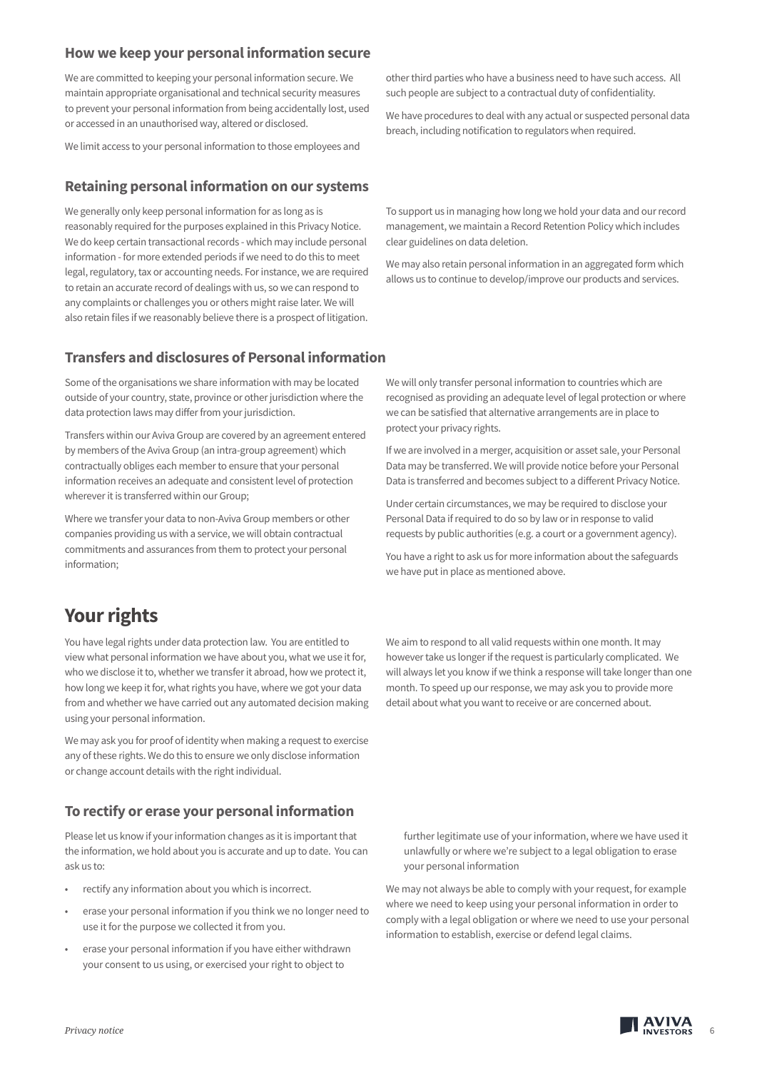#### **How we keep your personal information secure**

We are committed to keeping your personal information secure. We maintain appropriate organisational and technical security measures to prevent your personal information from being accidentally lost, used or accessed in an unauthorised way, altered or disclosed.

We limit access to your personal information to those employees and

#### **Retaining personal information on our systems**

We generally only keep personal information for as long as is reasonably required for the purposes explained in this Privacy Notice. We do keep certain transactional records - which may include personal information - for more extended periods if we need to do this to meet legal, regulatory, tax or accounting needs. For instance, we are required to retain an accurate record of dealings with us, so we can respond to any complaints or challenges you or others might raise later. We will also retain files if we reasonably believe there is a prospect of litigation.

other third parties who have a business need to have such access. All such people are subject to a contractual duty of confidentiality.

We have procedures to deal with any actual or suspected personal data breach, including notification to regulators when required.

To support us in managing how long we hold your data and our record management, we maintain a Record Retention Policy which includes clear guidelines on data deletion.

We may also retain personal information in an aggregated form which allows us to continue to develop/improve our products and services.

#### **Transfers and disclosures of Personal information**

Some of the organisations we share information with may be located outside of your country, state, province or other jurisdiction where the data protection laws may differ from your jurisdiction.

Transfers within our Aviva Group are covered by an agreement entered by members of the Aviva Group (an intra-group agreement) which contractually obliges each member to ensure that your personal information receives an adequate and consistent level of protection wherever it is transferred within our Group;

Where we transfer your data to non-Aviva Group members or other companies providing us with a service, we will obtain contractual commitments and assurances from them to protect your personal information;

# **Your rights**

You have legal rights under data protection law. You are entitled to view what personal information we have about you, what we use it for, who we disclose it to, whether we transfer it abroad, how we protect it, how long we keep it for, what rights you have, where we got your data from and whether we have carried out any automated decision making using your personal information.

We may ask you for proof of identity when making a request to exercise any of these rights. We do this to ensure we only disclose information or change account details with the right individual.

### **To rectify or erase your personal information**

Please let us know if your information changes as it is important that the information, we hold about you is accurate and up to date. You can ask us to:

- rectify any information about you which is incorrect.
- erase your personal information if you think we no longer need to use it for the purpose we collected it from you.
- erase your personal information if you have either withdrawn your consent to us using, or exercised your right to object to

We will only transfer personal information to countries which are recognised as providing an adequate level of legal protection or where we can be satisfied that alternative arrangements are in place to protect your privacy rights.

If we are involved in a merger, acquisition or asset sale, your Personal Data may be transferred. We will provide notice before your Personal Data is transferred and becomes subject to a different Privacy Notice.

Under certain circumstances, we may be required to disclose your Personal Data if required to do so by law or in response to valid requests by public authorities (e.g. a court or a government agency).

You have a right to ask us for more information about the safeguards we have put in place as mentioned above.

We aim to respond to all valid requests within one month. It may however take us longer if the request is particularly complicated. We will always let you know if we think a response will take longer than one month. To speed up our response, we may ask you to provide more detail about what you want to receive or are concerned about.

further legitimate use of your information, where we have used it unlawfully or where we're subject to a legal obligation to erase your personal information

We may not always be able to comply with your request, for example where we need to keep using your personal information in order to comply with a legal obligation or where we need to use your personal information to establish, exercise or defend legal claims.